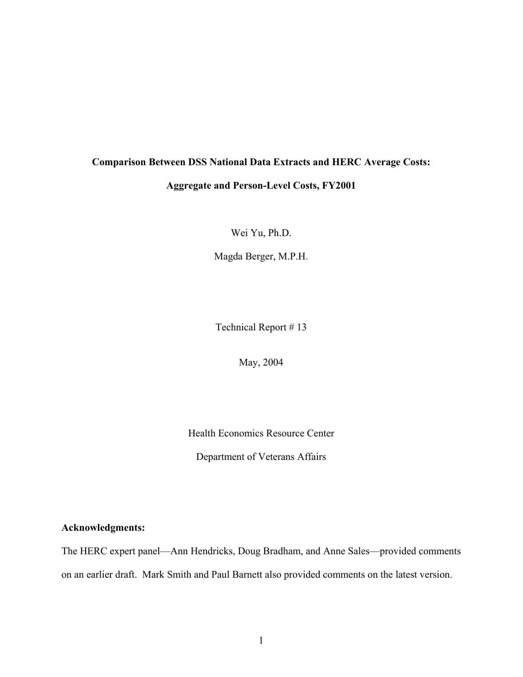# **Comparison Between DSS National Data Extracts and HERC Average Costs:**

# **Aggregate and Person-Level Costs, FY2001**

Wei Yu, Ph.D.

Magda Berger, M.P.H.

Technical Report # 13

May, 2004

Health Economics Resource Center

Department of Veterans Affairs

# **Acknowledgments:**

The HERC expert panel—Ann Hendricks, Doug Bradham, and Anne Sales—provided comments on an earlier draft. Mark Smith and Paul Barnett also provided comments on the latest version.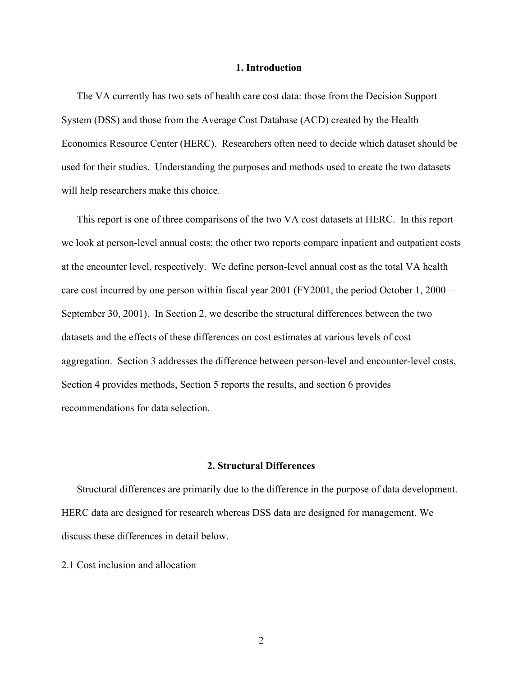#### **1. Introduction**

The VA currently has two sets of health care cost data: those from the Decision Support System (DSS) and those from the Average Cost Database (ACD) created by the Health Economics Resource Center (HERC). Researchers often need to decide which dataset should be used for their studies. Understanding the purposes and methods used to create the two datasets will help researchers make this choice.

This report is one of three comparisons of the two VA cost datasets at HERC. In this report we look at person-level annual costs; the other two reports compare inpatient and outpatient costs at the encounter level, respectively. We define person-level annual cost as the total VA health care cost incurred by one person within fiscal year 2001 (FY2001, the period October 1, 2000 – September 30, 2001). In Section 2, we describe the structural differences between the two datasets and the effects of these differences on cost estimates at various levels of cost aggregation. Section 3 addresses the difference between person-level and encounter-level costs, Section 4 provides methods, Section 5 reports the results, and section 6 provides recommendations for data selection.

# **2. Structural Differences**

Structural differences are primarily due to the difference in the purpose of data development. HERC data are designed for research whereas DSS data are designed for management. We discuss these differences in detail below.

2.1 Cost inclusion and allocation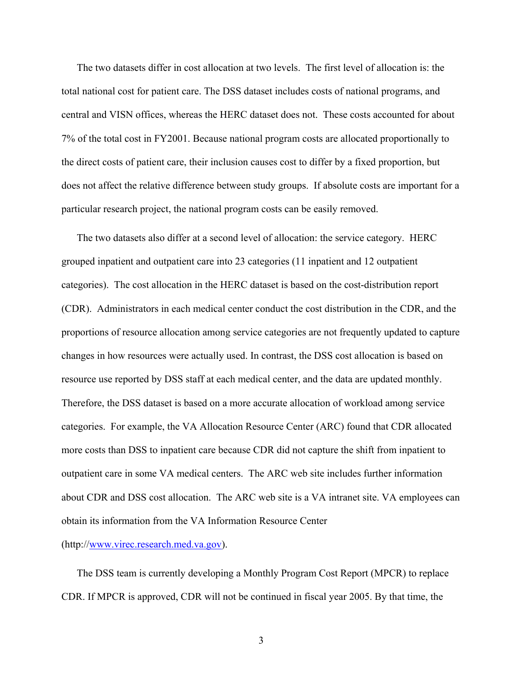The two datasets differ in cost allocation at two levels. The first level of allocation is: the total national cost for patient care. The DSS dataset includes costs of national programs, and central and VISN offices, whereas the HERC dataset does not. These costs accounted for about 7% of the total cost in FY2001. Because national program costs are allocated proportionally to the direct costs of patient care, their inclusion causes cost to differ by a fixed proportion, but does not affect the relative difference between study groups. If absolute costs are important for a particular research project, the national program costs can be easily removed.

The two datasets also differ at a second level of allocation: the service category. HERC grouped inpatient and outpatient care into 23 categories (11 inpatient and 12 outpatient categories). The cost allocation in the HERC dataset is based on the cost-distribution report (CDR). Administrators in each medical center conduct the cost distribution in the CDR, and the proportions of resource allocation among service categories are not frequently updated to capture changes in how resources were actually used. In contrast, the DSS cost allocation is based on resource use reported by DSS staff at each medical center, and the data are updated monthly. Therefore, the DSS dataset is based on a more accurate allocation of workload among service categories. For example, the VA Allocation Resource Center (ARC) found that CDR allocated more costs than DSS to inpatient care because CDR did not capture the shift from inpatient to outpatient care in some VA medical centers. The ARC web site includes further information about CDR and DSS cost allocation. The ARC web site is a VA intranet site. VA employees can obtain its information from the VA Information Resource Center

(http://[www.virec.research.med.va.gov\)](http://www.virec.research.med.va.gov/).

The DSS team is currently developing a Monthly Program Cost Report (MPCR) to replace CDR. If MPCR is approved, CDR will not be continued in fiscal year 2005. By that time, the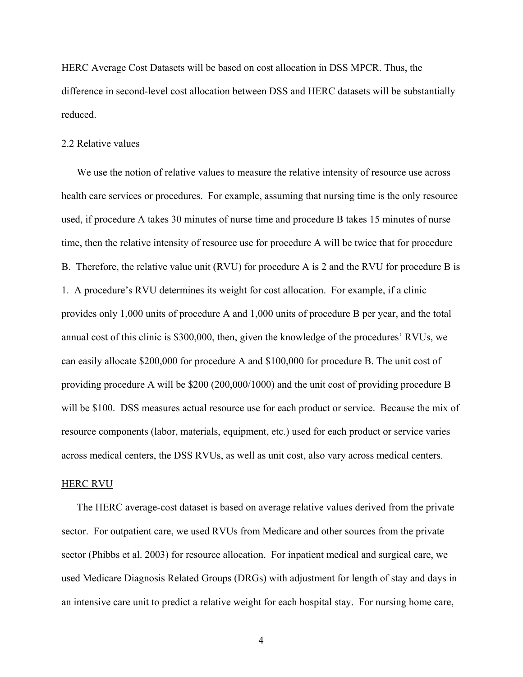HERC Average Cost Datasets will be based on cost allocation in DSS MPCR. Thus, the difference in second-level cost allocation between DSS and HERC datasets will be substantially reduced.

#### 2.2 Relative values

We use the notion of relative values to measure the relative intensity of resource use across health care services or procedures. For example, assuming that nursing time is the only resource used, if procedure A takes 30 minutes of nurse time and procedure B takes 15 minutes of nurse time, then the relative intensity of resource use for procedure A will be twice that for procedure B. Therefore, the relative value unit (RVU) for procedure A is 2 and the RVU for procedure B is 1. A procedure's RVU determines its weight for cost allocation. For example, if a clinic provides only 1,000 units of procedure A and 1,000 units of procedure B per year, and the total annual cost of this clinic is \$300,000, then, given the knowledge of the procedures' RVUs, we can easily allocate \$200,000 for procedure A and \$100,000 for procedure B. The unit cost of providing procedure A will be \$200 (200,000/1000) and the unit cost of providing procedure B will be \$100. DSS measures actual resource use for each product or service. Because the mix of resource components (labor, materials, equipment, etc.) used for each product or service varies across medical centers, the DSS RVUs, as well as unit cost, also vary across medical centers.

# HERC RVU

The HERC average-cost dataset is based on average relative values derived from the private sector. For outpatient care, we used RVUs from Medicare and other sources from the private sector (Phibbs et al. 2003) for resource allocation. For inpatient medical and surgical care, we used Medicare Diagnosis Related Groups (DRGs) with adjustment for length of stay and days in an intensive care unit to predict a relative weight for each hospital stay. For nursing home care,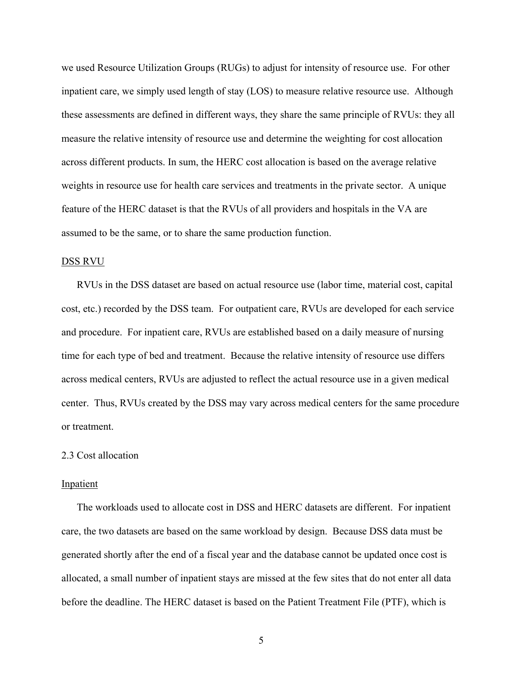we used Resource Utilization Groups (RUGs) to adjust for intensity of resource use. For other inpatient care, we simply used length of stay (LOS) to measure relative resource use. Although these assessments are defined in different ways, they share the same principle of RVUs: they all measure the relative intensity of resource use and determine the weighting for cost allocation across different products. In sum, the HERC cost allocation is based on the average relative weights in resource use for health care services and treatments in the private sector. A unique feature of the HERC dataset is that the RVUs of all providers and hospitals in the VA are assumed to be the same, or to share the same production function.

#### DSS RVU

RVUs in the DSS dataset are based on actual resource use (labor time, material cost, capital cost, etc.) recorded by the DSS team. For outpatient care, RVUs are developed for each service and procedure. For inpatient care, RVUs are established based on a daily measure of nursing time for each type of bed and treatment. Because the relative intensity of resource use differs across medical centers, RVUs are adjusted to reflect the actual resource use in a given medical center. Thus, RVUs created by the DSS may vary across medical centers for the same procedure or treatment.

#### 2.3 Cost allocation

#### Inpatient

The workloads used to allocate cost in DSS and HERC datasets are different. For inpatient care, the two datasets are based on the same workload by design. Because DSS data must be generated shortly after the end of a fiscal year and the database cannot be updated once cost is allocated, a small number of inpatient stays are missed at the few sites that do not enter all data before the deadline. The HERC dataset is based on the Patient Treatment File (PTF), which is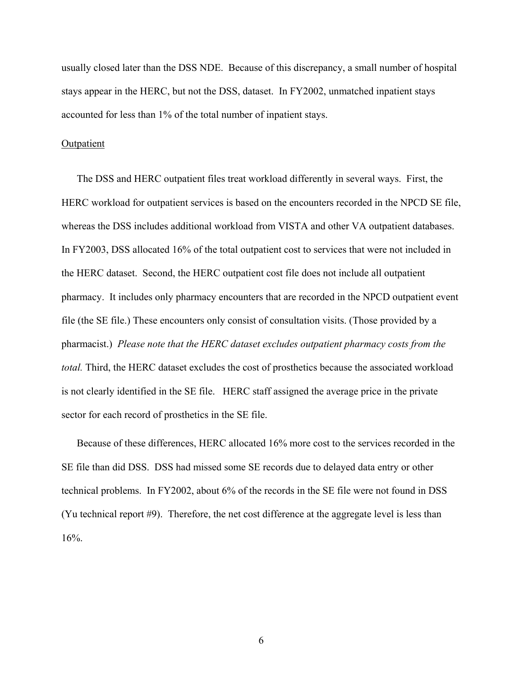usually closed later than the DSS NDE. Because of this discrepancy, a small number of hospital stays appear in the HERC, but not the DSS, dataset. In FY2002, unmatched inpatient stays accounted for less than 1% of the total number of inpatient stays.

# **Outpatient**

The DSS and HERC outpatient files treat workload differently in several ways. First, the HERC workload for outpatient services is based on the encounters recorded in the NPCD SE file, whereas the DSS includes additional workload from VISTA and other VA outpatient databases. In FY2003, DSS allocated 16% of the total outpatient cost to services that were not included in the HERC dataset. Second, the HERC outpatient cost file does not include all outpatient pharmacy. It includes only pharmacy encounters that are recorded in the NPCD outpatient event file (the SE file.) These encounters only consist of consultation visits. (Those provided by a pharmacist.) *Please note that the HERC dataset excludes outpatient pharmacy costs from the total.* Third, the HERC dataset excludes the cost of prosthetics because the associated workload is not clearly identified in the SE file. HERC staff assigned the average price in the private sector for each record of prosthetics in the SE file.

Because of these differences, HERC allocated 16% more cost to the services recorded in the SE file than did DSS. DSS had missed some SE records due to delayed data entry or other technical problems. In FY2002, about 6% of the records in the SE file were not found in DSS (Yu technical report #9). Therefore, the net cost difference at the aggregate level is less than 16%.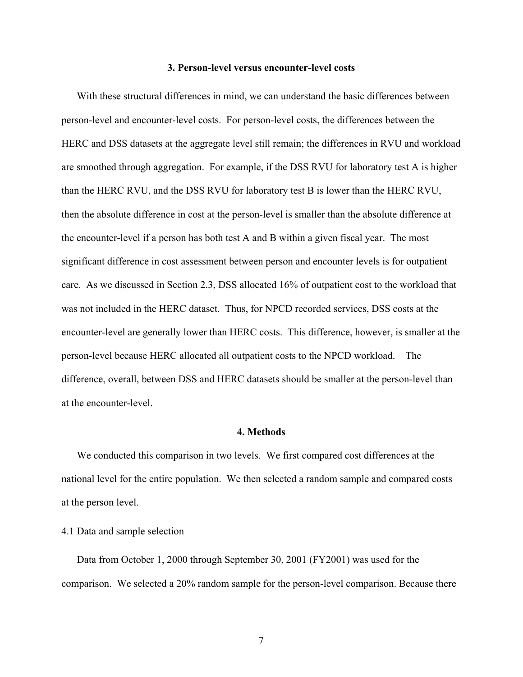## **3. Person-level versus encounter-level costs**

With these structural differences in mind, we can understand the basic differences between person-level and encounter-level costs. For person-level costs, the differences between the HERC and DSS datasets at the aggregate level still remain; the differences in RVU and workload are smoothed through aggregation. For example, if the DSS RVU for laboratory test A is higher than the HERC RVU, and the DSS RVU for laboratory test B is lower than the HERC RVU, then the absolute difference in cost at the person-level is smaller than the absolute difference at the encounter-level if a person has both test A and B within a given fiscal year. The most significant difference in cost assessment between person and encounter levels is for outpatient care. As we discussed in Section 2.3, DSS allocated 16% of outpatient cost to the workload that was not included in the HERC dataset. Thus, for NPCD recorded services, DSS costs at the encounter-level are generally lower than HERC costs. This difference, however, is smaller at the person-level because HERC allocated all outpatient costs to the NPCD workload. The difference, overall, between DSS and HERC datasets should be smaller at the person-level than at the encounter-level.

## **4. Methods**

We conducted this comparison in two levels. We first compared cost differences at the national level for the entire population. We then selected a random sample and compared costs at the person level.

# 4.1 Data and sample selection

Data from October 1, 2000 through September 30, 2001 (FY2001) was used for the comparison. We selected a 20% random sample for the person-level comparison. Because there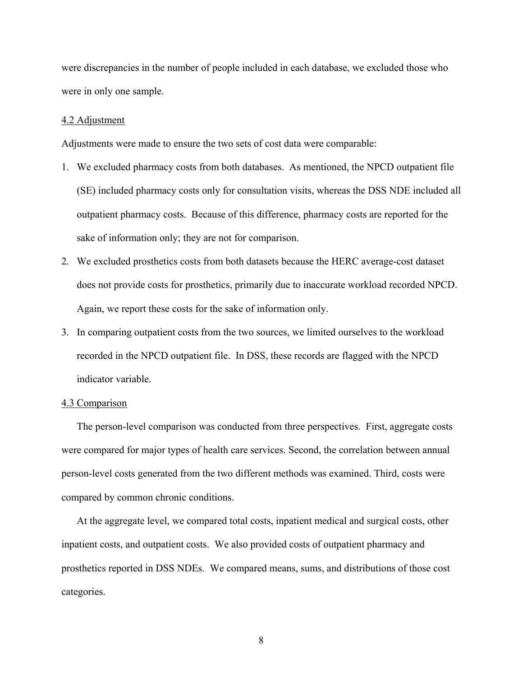were discrepancies in the number of people included in each database, we excluded those who were in only one sample.

#### 4.2 Adjustment

Adjustments were made to ensure the two sets of cost data were comparable:

- 1. We excluded pharmacy costs from both databases. As mentioned, the NPCD outpatient file (SE) included pharmacy costs only for consultation visits, whereas the DSS NDE included all outpatient pharmacy costs. Because of this difference, pharmacy costs are reported for the sake of information only; they are not for comparison.
- 2. We excluded prosthetics costs from both datasets because the HERC average-cost dataset does not provide costs for prosthetics, primarily due to inaccurate workload recorded NPCD. Again, we report these costs for the sake of information only.
- 3. In comparing outpatient costs from the two sources, we limited ourselves to the workload recorded in the NPCD outpatient file. In DSS, these records are flagged with the NPCD indicator variable.

# 4.3 Comparison

The person-level comparison was conducted from three perspectives. First, aggregate costs were compared for major types of health care services. Second, the correlation between annual person-level costs generated from the two different methods was examined. Third, costs were compared by common chronic conditions.

At the aggregate level, we compared total costs, inpatient medical and surgical costs, other inpatient costs, and outpatient costs. We also provided costs of outpatient pharmacy and prosthetics reported in DSS NDEs. We compared means, sums, and distributions of those cost categories.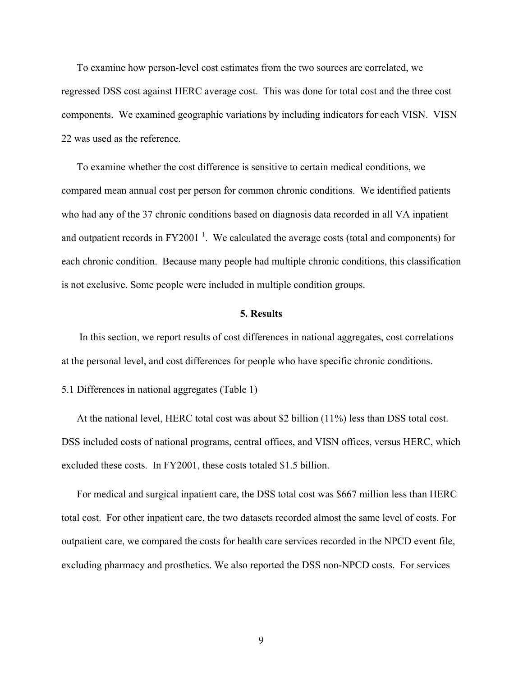To examine how person-level cost estimates from the two sources are correlated, we regressed DSS cost against HERC average cost. This was done for total cost and the three cost components. We examined geographic variations by including indicators for each VISN. VISN 22 was used as the reference.

To examine whether the cost difference is sensitive to certain medical conditions, we compared mean annual cost per person for common chronic conditions. We identified patients who had any of the 37 chronic conditions based on diagnosis data recorded in all VA inpatient and outpatient records in FY2001<sup>1</sup>. We calculated the average costs (total and components) for each chronic condition. Because many people had multiple chronic conditions, this classification is not exclusive. Some people were included in multiple condition groups.

#### **5. Results**

 In this section, we report results of cost differences in national aggregates, cost correlations at the personal level, and cost differences for people who have specific chronic conditions.

5.1 Differences in national aggregates (Table 1)

At the national level, HERC total cost was about \$2 billion (11%) less than DSS total cost. DSS included costs of national programs, central offices, and VISN offices, versus HERC, which excluded these costs. In FY2001, these costs totaled \$1.5 billion.

For medical and surgical inpatient care, the DSS total cost was \$667 million less than HERC total cost. For other inpatient care, the two datasets recorded almost the same level of costs. For outpatient care, we compared the costs for health care services recorded in the NPCD event file, excluding pharmacy and prosthetics. We also reported the DSS non-NPCD costs. For services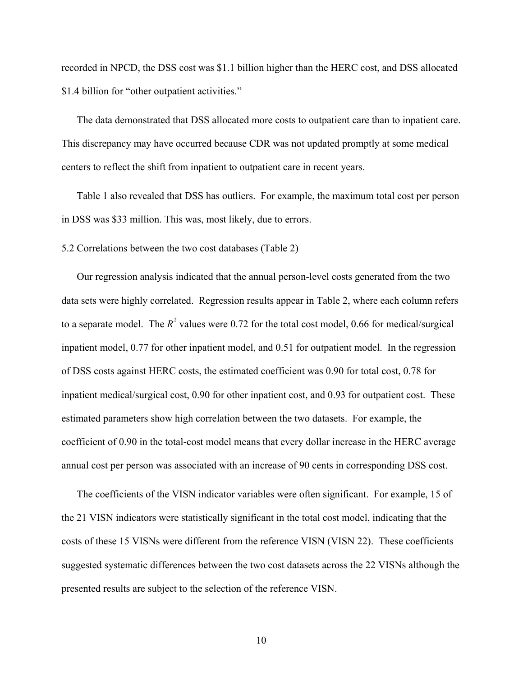recorded in NPCD, the DSS cost was \$1.1 billion higher than the HERC cost, and DSS allocated \$1.4 billion for "other outpatient activities."

The data demonstrated that DSS allocated more costs to outpatient care than to inpatient care. This discrepancy may have occurred because CDR was not updated promptly at some medical centers to reflect the shift from inpatient to outpatient care in recent years.

Table 1 also revealed that DSS has outliers. For example, the maximum total cost per person in DSS was \$33 million. This was, most likely, due to errors.

5.2 Correlations between the two cost databases (Table 2)

Our regression analysis indicated that the annual person-level costs generated from the two data sets were highly correlated. Regression results appear in Table 2, where each column refers to a separate model. The  $R^2$  values were 0.72 for the total cost model, 0.66 for medical/surgical inpatient model, 0.77 for other inpatient model, and 0.51 for outpatient model. In the regression of DSS costs against HERC costs, the estimated coefficient was 0.90 for total cost, 0.78 for inpatient medical/surgical cost, 0.90 for other inpatient cost, and 0.93 for outpatient cost. These estimated parameters show high correlation between the two datasets. For example, the coefficient of 0.90 in the total-cost model means that every dollar increase in the HERC average annual cost per person was associated with an increase of 90 cents in corresponding DSS cost.

The coefficients of the VISN indicator variables were often significant. For example, 15 of the 21 VISN indicators were statistically significant in the total cost model, indicating that the costs of these 15 VISNs were different from the reference VISN (VISN 22). These coefficients suggested systematic differences between the two cost datasets across the 22 VISNs although the presented results are subject to the selection of the reference VISN.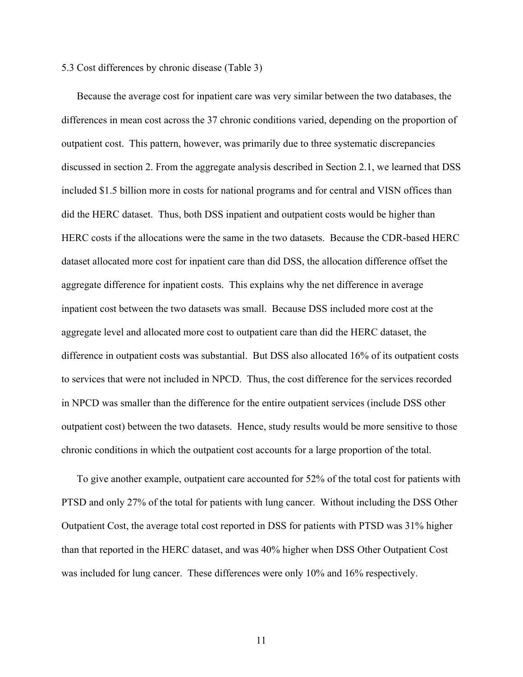# 5.3 Cost differences by chronic disease (Table 3)

Because the average cost for inpatient care was very similar between the two databases, the differences in mean cost across the 37 chronic conditions varied, depending on the proportion of outpatient cost. This pattern, however, was primarily due to three systematic discrepancies discussed in section 2. From the aggregate analysis described in Section 2.1, we learned that DSS included \$1.5 billion more in costs for national programs and for central and VISN offices than did the HERC dataset. Thus, both DSS inpatient and outpatient costs would be higher than HERC costs if the allocations were the same in the two datasets. Because the CDR-based HERC dataset allocated more cost for inpatient care than did DSS, the allocation difference offset the aggregate difference for inpatient costs. This explains why the net difference in average inpatient cost between the two datasets was small. Because DSS included more cost at the aggregate level and allocated more cost to outpatient care than did the HERC dataset, the difference in outpatient costs was substantial. But DSS also allocated 16% of its outpatient costs to services that were not included in NPCD. Thus, the cost difference for the services recorded in NPCD was smaller than the difference for the entire outpatient services (include DSS other outpatient cost) between the two datasets. Hence, study results would be more sensitive to those chronic conditions in which the outpatient cost accounts for a large proportion of the total.

To give another example, outpatient care accounted for 52% of the total cost for patients with PTSD and only 27% of the total for patients with lung cancer. Without including the DSS Other Outpatient Cost, the average total cost reported in DSS for patients with PTSD was 31% higher than that reported in the HERC dataset, and was 40% higher when DSS Other Outpatient Cost was included for lung cancer. These differences were only 10% and 16% respectively.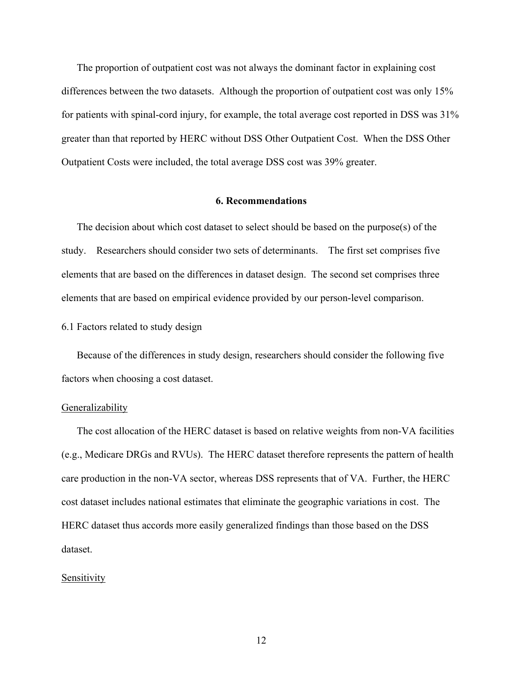The proportion of outpatient cost was not always the dominant factor in explaining cost differences between the two datasets. Although the proportion of outpatient cost was only 15% for patients with spinal-cord injury, for example, the total average cost reported in DSS was 31% greater than that reported by HERC without DSS Other Outpatient Cost. When the DSS Other Outpatient Costs were included, the total average DSS cost was 39% greater.

### **6. Recommendations**

The decision about which cost dataset to select should be based on the purpose(s) of the study. Researchers should consider two sets of determinants. The first set comprises five elements that are based on the differences in dataset design. The second set comprises three elements that are based on empirical evidence provided by our person-level comparison.

# 6.1 Factors related to study design

Because of the differences in study design, researchers should consider the following five factors when choosing a cost dataset.

#### **Generalizability**

The cost allocation of the HERC dataset is based on relative weights from non-VA facilities (e.g., Medicare DRGs and RVUs). The HERC dataset therefore represents the pattern of health care production in the non-VA sector, whereas DSS represents that of VA. Further, the HERC cost dataset includes national estimates that eliminate the geographic variations in cost. The HERC dataset thus accords more easily generalized findings than those based on the DSS dataset.

## Sensitivity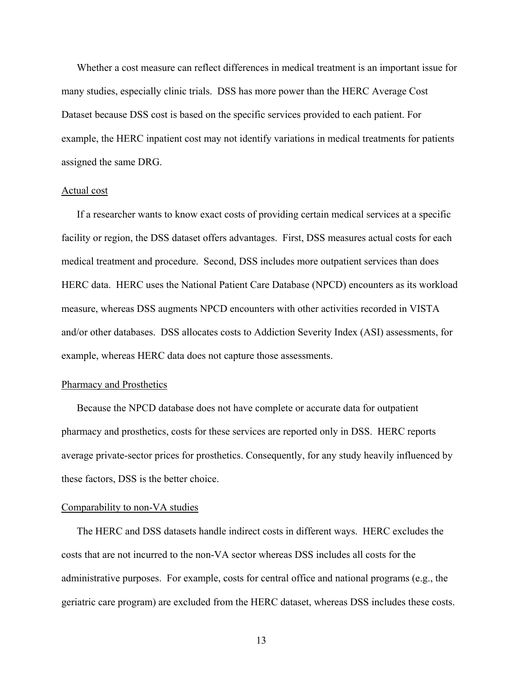Whether a cost measure can reflect differences in medical treatment is an important issue for many studies, especially clinic trials. DSS has more power than the HERC Average Cost Dataset because DSS cost is based on the specific services provided to each patient. For example, the HERC inpatient cost may not identify variations in medical treatments for patients assigned the same DRG.

#### Actual cost

If a researcher wants to know exact costs of providing certain medical services at a specific facility or region, the DSS dataset offers advantages. First, DSS measures actual costs for each medical treatment and procedure. Second, DSS includes more outpatient services than does HERC data. HERC uses the National Patient Care Database (NPCD) encounters as its workload measure, whereas DSS augments NPCD encounters with other activities recorded in VISTA and/or other databases. DSS allocates costs to Addiction Severity Index (ASI) assessments, for example, whereas HERC data does not capture those assessments.

# Pharmacy and Prosthetics

Because the NPCD database does not have complete or accurate data for outpatient pharmacy and prosthetics, costs for these services are reported only in DSS. HERC reports average private-sector prices for prosthetics. Consequently, for any study heavily influenced by these factors, DSS is the better choice.

#### Comparability to non-VA studies

The HERC and DSS datasets handle indirect costs in different ways. HERC excludes the costs that are not incurred to the non-VA sector whereas DSS includes all costs for the administrative purposes. For example, costs for central office and national programs (e.g., the geriatric care program) are excluded from the HERC dataset, whereas DSS includes these costs.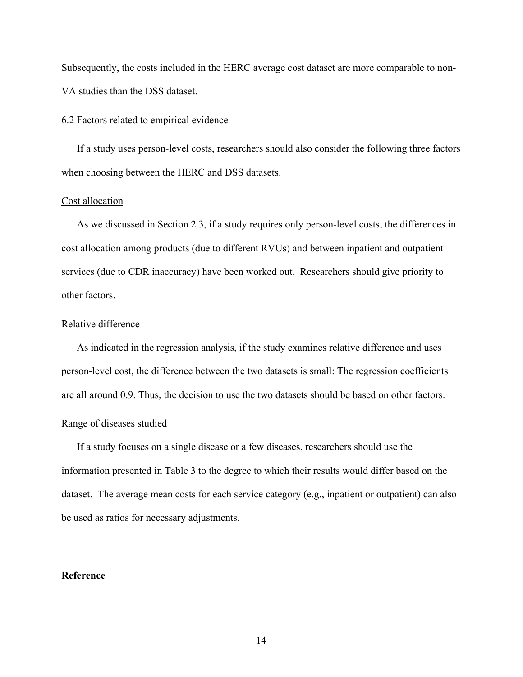Subsequently, the costs included in the HERC average cost dataset are more comparable to non-VA studies than the DSS dataset.

6.2 Factors related to empirical evidence

If a study uses person-level costs, researchers should also consider the following three factors when choosing between the HERC and DSS datasets.

# Cost allocation

As we discussed in Section 2.3, if a study requires only person-level costs, the differences in cost allocation among products (due to different RVUs) and between inpatient and outpatient services (due to CDR inaccuracy) have been worked out. Researchers should give priority to other factors.

# Relative difference

As indicated in the regression analysis, if the study examines relative difference and uses person-level cost, the difference between the two datasets is small: The regression coefficients are all around 0.9. Thus, the decision to use the two datasets should be based on other factors.

# Range of diseases studied

If a study focuses on a single disease or a few diseases, researchers should use the information presented in Table 3 to the degree to which their results would differ based on the dataset. The average mean costs for each service category (e.g., inpatient or outpatient) can also be used as ratios for necessary adjustments.

# **Reference**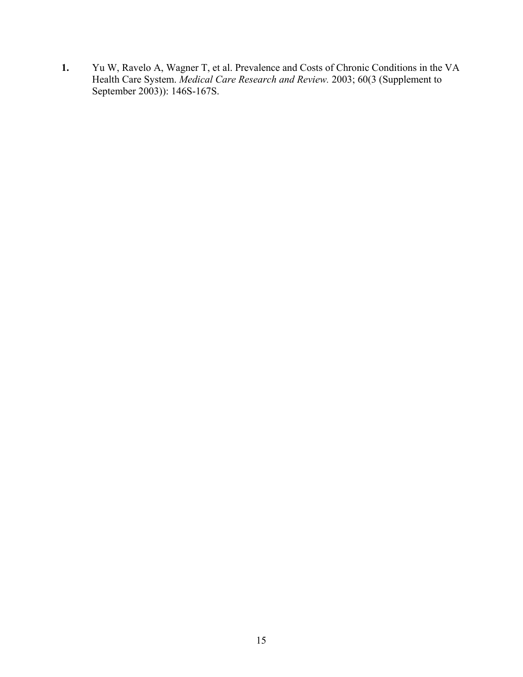**1.** Yu W, Ravelo A, Wagner T, et al. Prevalence and Costs of Chronic Conditions in the VA Health Care System. *Medical Care Research and Review.* 2003; 60(3 (Supplement to September 2003)): 146S-167S.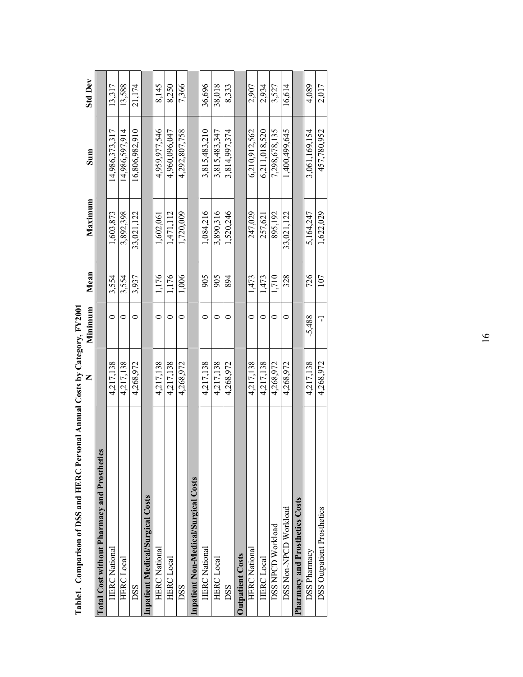| L'ADIEL. COMPARISON OI D'OS ANG HEKU FEF                 | SOLIA ANNI COSIS DY Calegory, F Y ZDU |          |       |            |                |                |
|----------------------------------------------------------|---------------------------------------|----------|-------|------------|----------------|----------------|
|                                                          |                                       | Minimum  | Mean  | Maximum    | Sum            | <b>Std Dev</b> |
| පී<br><b>Total Cost without Pharmacy and Prosthetion</b> |                                       |          |       |            |                |                |
| <b>HERC</b> National                                     | 4.217.138                             |          | 3,554 | 1,603,873  | 14,986,373,317 | 13,317         |
| <b>HERC</b> Local                                        | 4,217,138                             |          | 3,554 | 3,892,398  | 14,986,597,914 | 13,588         |
| <b>DSS</b>                                               | 4,268,972                             |          | 3,937 | 33,021,122 | 16,806,982,910 | 21,174         |
| <b>Inpatient Medical/Surgical Costs</b>                  |                                       |          |       |            |                |                |
| <b>HERC</b> National                                     | 4,217,138                             |          | 1,176 | 1,602,061  | 4,959,977,546  | 8,145          |
| <b>HERC</b> Local                                        | 4,217,138                             |          | 1,176 | 1,471,112  | 4,960,096,047  | 8,250          |
| <b>DSS</b>                                               | 4,268,972                             |          | 1,006 | 1,720,009  | 4,292,807,758  | 7,366          |
| Inpatient Non-Medical/Surgical Costs                     |                                       |          |       |            |                |                |
| <b>HERC National</b>                                     | 4,217,138                             |          | 905   | 1,084,216  | 3,815,483,210  | 36,696         |
| <b>HERC</b> Local                                        | 4,217,138                             |          | 905   | 3,890,316  | 3,815,483,347  | 38,018         |
| <b>DSS</b>                                               | 4,268,972                             |          | 894   | 1,520,246  | 3,814,997,374  | 8,333          |
| <b>Outpatient Costs</b>                                  |                                       |          |       |            |                |                |
| <b>HERC</b> National                                     | 4,217,138                             |          | 1,473 | 247,029    | 6,210,912,562  | 2,907          |
| <b>HERC</b> Local                                        | 4,217,138                             |          | 1,473 | 257,621    | 6,211,018,520  | 2,934          |
| DSS NPCD Workload                                        | 4,268,972                             |          | 1,710 | 895,192    | 7,298,678,135  | 3,527          |
| DSS Non-NPCD Workload                                    | 4,268,972                             |          | 328   | 33,021,122 | 1,400,499,645  | 16,614         |
| <b>Pharmacy and Prosthetics Costs</b>                    |                                       |          |       |            |                |                |
| <b>DSS Pharmacy</b>                                      | 4,217,138                             | $-5,488$ | 726   | 5,164,247  | 3,061,169,154  | 4,089          |
| <b>DSS Outpatient Prosthetics</b>                        | 4,268,972                             | ٦        | 107   | 1,622,029  | 457,780,952    | 2,017          |
|                                                          |                                       |          |       |            |                |                |

| <b>MANO</b><br>l<br>l                   |
|-----------------------------------------|
| .<br>ו                                  |
| ç                                       |
|                                         |
|                                         |
|                                         |
| <br> <br> <br> <br>The man and the same |
|                                         |
| くくり<br>$\frac{2}{3}$                    |
|                                         |
| I<br>ζ                                  |
| l                                       |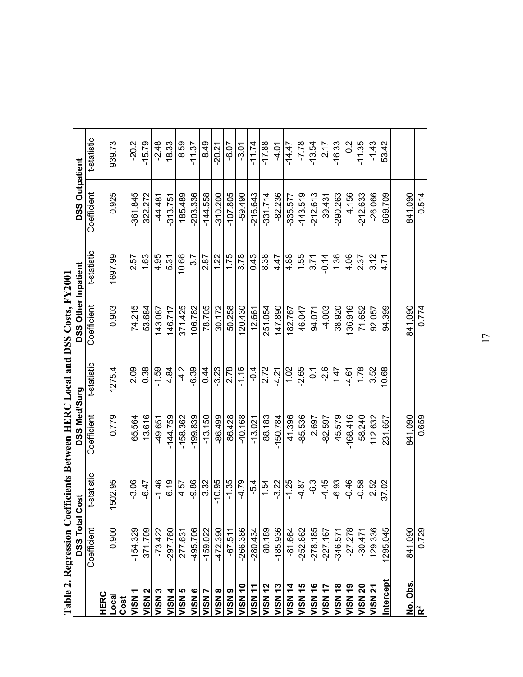|                    | <b>Table 2. Regression Co</b> |             | efficients Between HERC Local and DSS Costs, FY2001 |                 |                            |             |                       |                |
|--------------------|-------------------------------|-------------|-----------------------------------------------------|-----------------|----------------------------|-------------|-----------------------|----------------|
|                    | DSS Total                     | Cost        | DSS Med/Surg                                        |                 | <b>DSS Other Inpatient</b> |             | <b>DSS Outpatient</b> |                |
|                    | Coefficient                   | t-statistic | Coefficient                                         | t-statistic     | Coefficient                | t-statistic | Coefficient           | t-statistic    |
| <b>HERC</b>        |                               |             |                                                     |                 |                            |             |                       |                |
| Local<br>Cost      | 0.900                         | 1502.95     | 0.779                                               | 1275.4          | 0.903                      | 1697.99     | 0.925                 | 939.73         |
| VISN               | $-154.329$                    | $-3.06$     | 65.564                                              | 2.09            | 74.215                     | 2.57        | -361.845              | $-20.2$        |
| VISN <sub>2</sub>  | $-371.709$                    | $-6.47$     | 13.616                                              | 0.38            | 53.684                     | 1.63        | $-322.272$            | $-15.79$       |
| VISN <sub>3</sub>  | $-73.422$                     | $-1.46$     | $-49.651$                                           | $-1.59$         | 143.087                    | 4.95        | $-44.481$             | $-2.48$        |
| VISN 4             | 297.760                       | $-6.19$     | $-144.759$                                          | 4.84            | 146.717                    | 5.31        | $-313.751$            | $-18.33$       |
| VISN 5             | 277.631                       | 4.57        | $-158.362$                                          | $\frac{2}{1}$   | 371.425                    | 10.66       | 185.489               | 8.59           |
| VISN <sub>6</sub>  | -495.706                      | -9.86       | -199.839                                            | 6.39            | 106.782                    | 3.7         | -203.336              | $-11.37$       |
| VISN <sub>7</sub>  | $-159.022$                    | $-3.32$     | $-13.150$                                           | $-0.44$         | 78.705                     | 2.87        | $-144.558$            | -8.49          |
| VISN <sub>8</sub>  | -472.390                      | $-10.95$    | -86.499                                             | 3.23            | 30.172                     | 1.22        | $-310.200$            | $-20.21$       |
| VISN <sub>9</sub>  | $-67.511$                     | $-1.35$     | 86.428                                              | 2.78            | 50.258                     | 1.75        | $-107.805$            | $-6.07$        |
| VISN <sub>10</sub> | $-266.386$                    | $-4.79$     | 40.168                                              | $-1.16$         | 120.430                    | 3.78        | $-59.490$             | $-3.01$        |
| VISN <sub>11</sub> | $-280.434$                    | -5.4        | $-13.021$                                           | $\frac{4}{1}$   | 12.661                     | 0.43        | $-216.643$            | $-11.74$       |
| <b>VISN 12</b>     | 80.189                        | 1.54        | 88.183                                              | 2.72            | 251.054                    | 8.38        | $-331.714$            | $-17.88$       |
| <b>VISN 13</b>     | $-185.936$                    | $-3.22$     | $-150.784$                                          | 4.21            | 147.890                    | 4.47        | $-82.236$             | $-4.01$        |
| VISN 14            | $-81.664$                     | $-1.25$     | 41.396                                              | 1.02            | 182.767                    | 4.88        | $-335.577$            | $-14.47$       |
| VISN 15            | $-252.862$                    | 4.87        | $-85.536$                                           | $-2.65$         | 46.047                     | 1.55        | $-143.519$            | $-7.78$        |
| <b>VISN 16</b>     | $-278.185$                    | .<br>ა      | 2.697                                               | $\tilde{\circ}$ | 94.071                     | 3.71        | $-212.613$            | $-13.54$       |
| VISN <sub>17</sub> | $-227.167$                    | -4.45       | -82.597                                             | $-2.6$          | $-4.003$                   | $-0.14$     | 39.431                | 2.17           |
| <b>VISN 18</b>     | $-346.571$                    | -6.93       | 45.579                                              | 1.47            | 38.920                     | 1.36        | $-290.263$            | $-16.33$       |
| VISN 19            | $-27.278$                     | $-0.46$     | $-168.416$                                          | 4.61            | 36.916                     | 4.06        | 4.156                 | $\frac{2}{10}$ |
| <b>VISN 20</b>     | $-30.471$                     | $-0.58$     | 58.240                                              | 1.78            | 71.652                     | 2.37        | $-212.633$            | $-11.35$       |
| VISN 21            | 129.336                       | 2.52        | 112.632                                             | 3.52            | 92.057                     | 3.12        | $-26.066$             | $-1.43$        |
| Intercept          | 1295.045                      | 37.02       | 231.657                                             | 10.68           | 94.399                     | 4.71        | 669.709               | 53.42          |
|                    |                               |             |                                                     |                 |                            |             |                       |                |
| No. Obs            | 841,090                       |             | 841,090                                             |                 | 841,090                    |             | 841.090               |                |
| $\mathbf{R}^2$     | 0.729                         |             | 0.659                                               |                 | 0.774                      |             | 0.514                 |                |

| י                                                                            |
|------------------------------------------------------------------------------|
|                                                                              |
|                                                                              |
|                                                                              |
|                                                                              |
| ĭ                                                                            |
| l                                                                            |
|                                                                              |
|                                                                              |
|                                                                              |
|                                                                              |
| ֚֚֚֬                                                                         |
|                                                                              |
|                                                                              |
|                                                                              |
|                                                                              |
|                                                                              |
| $\frac{1}{2}$<br>֖ׅׅׅׅׅׅ֧ׅ֖֧֖֖֚֚֚֚֚֚֚֚֚֚֚֚֚֚֚֚֚֚֚֚֚֚֚֚֚֚֚֚֚֚֡֝֝֝֬֝֬֓֓֝֬֓֝֬֝֬ |
|                                                                              |
|                                                                              |
|                                                                              |
|                                                                              |
| $\begin{array}{c} \hline \end{array}$                                        |
|                                                                              |
|                                                                              |
|                                                                              |
|                                                                              |
|                                                                              |
|                                                                              |
|                                                                              |
| ׅ֘֒                                                                          |
|                                                                              |
|                                                                              |
|                                                                              |
|                                                                              |
|                                                                              |
|                                                                              |
|                                                                              |
| ֕                                                                            |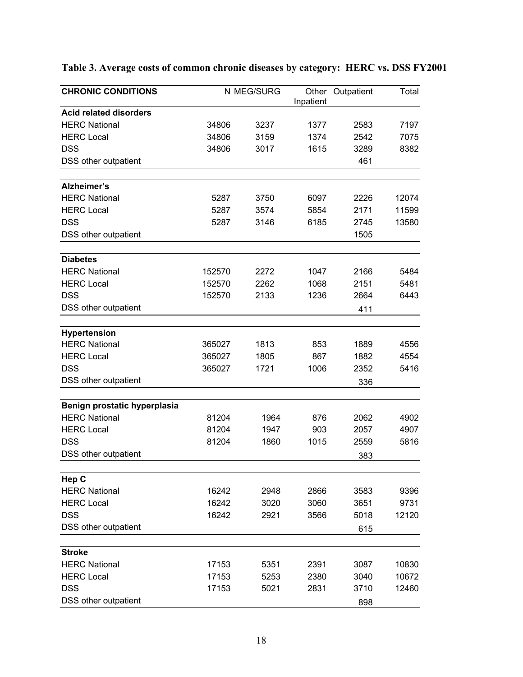| Inpatient<br><b>Acid related disorders</b><br><b>HERC National</b><br>34806<br>3237<br>1377<br>2583<br>7197<br><b>HERC Local</b><br>34806<br>3159<br>1374<br>2542<br>7075<br><b>DSS</b><br>1615<br>34806<br>3017<br>3289<br>8382<br>461<br>DSS other outpatient<br>Alzheimer's<br><b>HERC National</b><br>5287<br>3750<br>6097<br>2226<br>12074<br><b>HERC Local</b><br>5287<br>11599<br>3574<br>5854<br>2171<br><b>DSS</b><br>5287<br>13580<br>3146<br>6185<br>2745<br>DSS other outpatient<br>1505<br><b>Diabetes</b><br><b>HERC National</b><br>1047<br>2166<br>152570<br>2272<br>5484<br><b>HERC Local</b><br>152570<br>2262<br>1068<br>2151<br>5481<br><b>DSS</b><br>152570<br>2133<br>1236<br>2664<br>6443<br>DSS other outpatient<br>411<br>Hypertension<br><b>HERC National</b><br>1889<br>365027<br>1813<br>853<br>4556<br><b>HERC Local</b><br>365027<br>1805<br>867<br>1882<br>4554<br><b>DSS</b><br>2352<br>365027<br>1721<br>1006<br>5416<br>DSS other outpatient<br>336<br>Benign prostatic hyperplasia<br><b>HERC National</b><br>81204<br>1964<br>876<br>2062<br>4902<br><b>HERC Local</b><br>81204<br>1947<br>903<br>2057<br>4907<br><b>DSS</b><br>81204<br>1860<br>1015<br>2559<br>5816<br>DSS other outpatient<br>383<br>Hep C<br><b>HERC National</b><br>16242<br>2866<br>2948<br>3583<br>9396<br><b>HERC Local</b><br>16242<br>3060<br>3651<br>9731<br>3020<br><b>DSS</b><br>16242<br>2921<br>3566<br>5018<br>12120<br>DSS other outpatient<br>615 | <b>CHRONIC CONDITIONS</b> | N MEG/SURG | Other Outpatient | Total |
|-------------------------------------------------------------------------------------------------------------------------------------------------------------------------------------------------------------------------------------------------------------------------------------------------------------------------------------------------------------------------------------------------------------------------------------------------------------------------------------------------------------------------------------------------------------------------------------------------------------------------------------------------------------------------------------------------------------------------------------------------------------------------------------------------------------------------------------------------------------------------------------------------------------------------------------------------------------------------------------------------------------------------------------------------------------------------------------------------------------------------------------------------------------------------------------------------------------------------------------------------------------------------------------------------------------------------------------------------------------------------------------------------------------------------------------------------------------------------|---------------------------|------------|------------------|-------|
|                                                                                                                                                                                                                                                                                                                                                                                                                                                                                                                                                                                                                                                                                                                                                                                                                                                                                                                                                                                                                                                                                                                                                                                                                                                                                                                                                                                                                                                                         |                           |            |                  |       |
|                                                                                                                                                                                                                                                                                                                                                                                                                                                                                                                                                                                                                                                                                                                                                                                                                                                                                                                                                                                                                                                                                                                                                                                                                                                                                                                                                                                                                                                                         |                           |            |                  |       |
|                                                                                                                                                                                                                                                                                                                                                                                                                                                                                                                                                                                                                                                                                                                                                                                                                                                                                                                                                                                                                                                                                                                                                                                                                                                                                                                                                                                                                                                                         |                           |            |                  |       |
|                                                                                                                                                                                                                                                                                                                                                                                                                                                                                                                                                                                                                                                                                                                                                                                                                                                                                                                                                                                                                                                                                                                                                                                                                                                                                                                                                                                                                                                                         |                           |            |                  |       |
|                                                                                                                                                                                                                                                                                                                                                                                                                                                                                                                                                                                                                                                                                                                                                                                                                                                                                                                                                                                                                                                                                                                                                                                                                                                                                                                                                                                                                                                                         |                           |            |                  |       |
|                                                                                                                                                                                                                                                                                                                                                                                                                                                                                                                                                                                                                                                                                                                                                                                                                                                                                                                                                                                                                                                                                                                                                                                                                                                                                                                                                                                                                                                                         |                           |            |                  |       |
|                                                                                                                                                                                                                                                                                                                                                                                                                                                                                                                                                                                                                                                                                                                                                                                                                                                                                                                                                                                                                                                                                                                                                                                                                                                                                                                                                                                                                                                                         |                           |            |                  |       |
|                                                                                                                                                                                                                                                                                                                                                                                                                                                                                                                                                                                                                                                                                                                                                                                                                                                                                                                                                                                                                                                                                                                                                                                                                                                                                                                                                                                                                                                                         |                           |            |                  |       |
|                                                                                                                                                                                                                                                                                                                                                                                                                                                                                                                                                                                                                                                                                                                                                                                                                                                                                                                                                                                                                                                                                                                                                                                                                                                                                                                                                                                                                                                                         |                           |            |                  |       |
|                                                                                                                                                                                                                                                                                                                                                                                                                                                                                                                                                                                                                                                                                                                                                                                                                                                                                                                                                                                                                                                                                                                                                                                                                                                                                                                                                                                                                                                                         |                           |            |                  |       |
|                                                                                                                                                                                                                                                                                                                                                                                                                                                                                                                                                                                                                                                                                                                                                                                                                                                                                                                                                                                                                                                                                                                                                                                                                                                                                                                                                                                                                                                                         |                           |            |                  |       |
|                                                                                                                                                                                                                                                                                                                                                                                                                                                                                                                                                                                                                                                                                                                                                                                                                                                                                                                                                                                                                                                                                                                                                                                                                                                                                                                                                                                                                                                                         |                           |            |                  |       |
|                                                                                                                                                                                                                                                                                                                                                                                                                                                                                                                                                                                                                                                                                                                                                                                                                                                                                                                                                                                                                                                                                                                                                                                                                                                                                                                                                                                                                                                                         |                           |            |                  |       |
|                                                                                                                                                                                                                                                                                                                                                                                                                                                                                                                                                                                                                                                                                                                                                                                                                                                                                                                                                                                                                                                                                                                                                                                                                                                                                                                                                                                                                                                                         |                           |            |                  |       |
|                                                                                                                                                                                                                                                                                                                                                                                                                                                                                                                                                                                                                                                                                                                                                                                                                                                                                                                                                                                                                                                                                                                                                                                                                                                                                                                                                                                                                                                                         |                           |            |                  |       |
|                                                                                                                                                                                                                                                                                                                                                                                                                                                                                                                                                                                                                                                                                                                                                                                                                                                                                                                                                                                                                                                                                                                                                                                                                                                                                                                                                                                                                                                                         |                           |            |                  |       |
|                                                                                                                                                                                                                                                                                                                                                                                                                                                                                                                                                                                                                                                                                                                                                                                                                                                                                                                                                                                                                                                                                                                                                                                                                                                                                                                                                                                                                                                                         |                           |            |                  |       |
|                                                                                                                                                                                                                                                                                                                                                                                                                                                                                                                                                                                                                                                                                                                                                                                                                                                                                                                                                                                                                                                                                                                                                                                                                                                                                                                                                                                                                                                                         |                           |            |                  |       |
|                                                                                                                                                                                                                                                                                                                                                                                                                                                                                                                                                                                                                                                                                                                                                                                                                                                                                                                                                                                                                                                                                                                                                                                                                                                                                                                                                                                                                                                                         |                           |            |                  |       |
|                                                                                                                                                                                                                                                                                                                                                                                                                                                                                                                                                                                                                                                                                                                                                                                                                                                                                                                                                                                                                                                                                                                                                                                                                                                                                                                                                                                                                                                                         |                           |            |                  |       |
|                                                                                                                                                                                                                                                                                                                                                                                                                                                                                                                                                                                                                                                                                                                                                                                                                                                                                                                                                                                                                                                                                                                                                                                                                                                                                                                                                                                                                                                                         |                           |            |                  |       |
|                                                                                                                                                                                                                                                                                                                                                                                                                                                                                                                                                                                                                                                                                                                                                                                                                                                                                                                                                                                                                                                                                                                                                                                                                                                                                                                                                                                                                                                                         |                           |            |                  |       |
|                                                                                                                                                                                                                                                                                                                                                                                                                                                                                                                                                                                                                                                                                                                                                                                                                                                                                                                                                                                                                                                                                                                                                                                                                                                                                                                                                                                                                                                                         |                           |            |                  |       |
|                                                                                                                                                                                                                                                                                                                                                                                                                                                                                                                                                                                                                                                                                                                                                                                                                                                                                                                                                                                                                                                                                                                                                                                                                                                                                                                                                                                                                                                                         |                           |            |                  |       |
|                                                                                                                                                                                                                                                                                                                                                                                                                                                                                                                                                                                                                                                                                                                                                                                                                                                                                                                                                                                                                                                                                                                                                                                                                                                                                                                                                                                                                                                                         |                           |            |                  |       |
|                                                                                                                                                                                                                                                                                                                                                                                                                                                                                                                                                                                                                                                                                                                                                                                                                                                                                                                                                                                                                                                                                                                                                                                                                                                                                                                                                                                                                                                                         |                           |            |                  |       |
|                                                                                                                                                                                                                                                                                                                                                                                                                                                                                                                                                                                                                                                                                                                                                                                                                                                                                                                                                                                                                                                                                                                                                                                                                                                                                                                                                                                                                                                                         |                           |            |                  |       |
|                                                                                                                                                                                                                                                                                                                                                                                                                                                                                                                                                                                                                                                                                                                                                                                                                                                                                                                                                                                                                                                                                                                                                                                                                                                                                                                                                                                                                                                                         |                           |            |                  |       |
|                                                                                                                                                                                                                                                                                                                                                                                                                                                                                                                                                                                                                                                                                                                                                                                                                                                                                                                                                                                                                                                                                                                                                                                                                                                                                                                                                                                                                                                                         |                           |            |                  |       |
|                                                                                                                                                                                                                                                                                                                                                                                                                                                                                                                                                                                                                                                                                                                                                                                                                                                                                                                                                                                                                                                                                                                                                                                                                                                                                                                                                                                                                                                                         |                           |            |                  |       |
|                                                                                                                                                                                                                                                                                                                                                                                                                                                                                                                                                                                                                                                                                                                                                                                                                                                                                                                                                                                                                                                                                                                                                                                                                                                                                                                                                                                                                                                                         |                           |            |                  |       |
|                                                                                                                                                                                                                                                                                                                                                                                                                                                                                                                                                                                                                                                                                                                                                                                                                                                                                                                                                                                                                                                                                                                                                                                                                                                                                                                                                                                                                                                                         |                           |            |                  |       |
|                                                                                                                                                                                                                                                                                                                                                                                                                                                                                                                                                                                                                                                                                                                                                                                                                                                                                                                                                                                                                                                                                                                                                                                                                                                                                                                                                                                                                                                                         |                           |            |                  |       |
|                                                                                                                                                                                                                                                                                                                                                                                                                                                                                                                                                                                                                                                                                                                                                                                                                                                                                                                                                                                                                                                                                                                                                                                                                                                                                                                                                                                                                                                                         |                           |            |                  |       |
|                                                                                                                                                                                                                                                                                                                                                                                                                                                                                                                                                                                                                                                                                                                                                                                                                                                                                                                                                                                                                                                                                                                                                                                                                                                                                                                                                                                                                                                                         |                           |            |                  |       |
|                                                                                                                                                                                                                                                                                                                                                                                                                                                                                                                                                                                                                                                                                                                                                                                                                                                                                                                                                                                                                                                                                                                                                                                                                                                                                                                                                                                                                                                                         |                           |            |                  |       |
|                                                                                                                                                                                                                                                                                                                                                                                                                                                                                                                                                                                                                                                                                                                                                                                                                                                                                                                                                                                                                                                                                                                                                                                                                                                                                                                                                                                                                                                                         | <b>Stroke</b>             |            |                  |       |
| <b>HERC National</b><br>2391<br>17153<br>5351<br>3087<br>10830                                                                                                                                                                                                                                                                                                                                                                                                                                                                                                                                                                                                                                                                                                                                                                                                                                                                                                                                                                                                                                                                                                                                                                                                                                                                                                                                                                                                          |                           |            |                  |       |
| <b>HERC</b> Local<br>17153<br>5253<br>2380<br>3040<br>10672                                                                                                                                                                                                                                                                                                                                                                                                                                                                                                                                                                                                                                                                                                                                                                                                                                                                                                                                                                                                                                                                                                                                                                                                                                                                                                                                                                                                             |                           |            |                  |       |
| <b>DSS</b><br>17153<br>5021<br>2831<br>3710<br>12460                                                                                                                                                                                                                                                                                                                                                                                                                                                                                                                                                                                                                                                                                                                                                                                                                                                                                                                                                                                                                                                                                                                                                                                                                                                                                                                                                                                                                    |                           |            |                  |       |
| DSS other outpatient<br>898                                                                                                                                                                                                                                                                                                                                                                                                                                                                                                                                                                                                                                                                                                                                                                                                                                                                                                                                                                                                                                                                                                                                                                                                                                                                                                                                                                                                                                             |                           |            |                  |       |

# **Table 3. Average costs of common chronic diseases by category: HERC vs. DSS FY2001**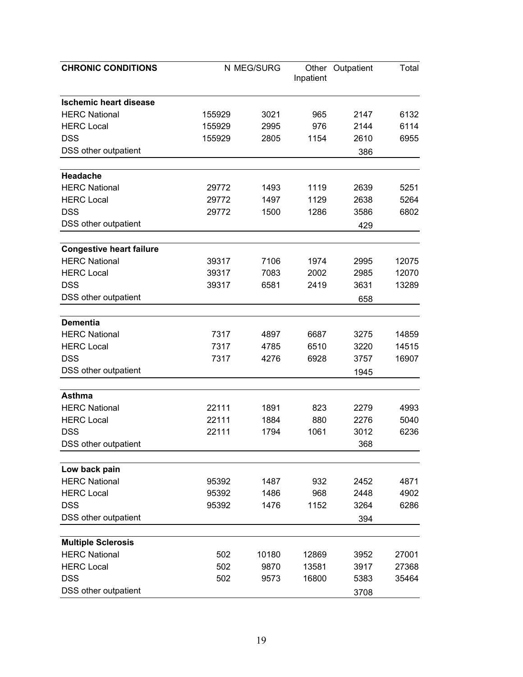| <b>CHRONIC CONDITIONS</b>       |        | N MEG/SURG | Inpatient | Other Outpatient | Total |
|---------------------------------|--------|------------|-----------|------------------|-------|
|                                 |        |            |           |                  |       |
| <b>Ischemic heart disease</b>   |        |            |           |                  |       |
| <b>HERC National</b>            | 155929 | 3021       | 965       | 2147             | 6132  |
| <b>HERC Local</b>               | 155929 | 2995       | 976       | 2144             | 6114  |
| <b>DSS</b>                      | 155929 | 2805       | 1154      | 2610             | 6955  |
| DSS other outpatient            |        |            |           | 386              |       |
| <b>Headache</b>                 |        |            |           |                  |       |
| <b>HERC National</b>            | 29772  | 1493       | 1119      | 2639             | 5251  |
| <b>HERC</b> Local               | 29772  | 1497       | 1129      | 2638             | 5264  |
| <b>DSS</b>                      | 29772  | 1500       | 1286      | 3586             | 6802  |
| DSS other outpatient            |        |            |           | 429              |       |
|                                 |        |            |           |                  |       |
| <b>Congestive heart failure</b> |        |            |           |                  |       |
| <b>HERC National</b>            | 39317  | 7106       | 1974      | 2995             | 12075 |
| <b>HERC Local</b>               | 39317  | 7083       | 2002      | 2985             | 12070 |
| <b>DSS</b>                      | 39317  | 6581       | 2419      | 3631             | 13289 |
| DSS other outpatient            |        |            |           | 658              |       |
| <b>Dementia</b>                 |        |            |           |                  |       |
| <b>HERC National</b>            | 7317   | 4897       | 6687      | 3275             | 14859 |
| <b>HERC Local</b>               | 7317   | 4785       | 6510      | 3220             | 14515 |
| <b>DSS</b>                      | 7317   | 4276       | 6928      | 3757             | 16907 |
| DSS other outpatient            |        |            |           | 1945             |       |
|                                 |        |            |           |                  |       |
| <b>Asthma</b>                   |        |            |           |                  |       |
| <b>HERC National</b>            | 22111  | 1891       | 823       | 2279             | 4993  |
| <b>HERC Local</b>               | 22111  | 1884       | 880       | 2276             | 5040  |
| <b>DSS</b>                      | 22111  | 1794       | 1061      | 3012             | 6236  |
| DSS other outpatient            |        |            |           | 368              |       |
| Low back pain                   |        |            |           |                  |       |
| <b>HERC National</b>            | 95392  | 1487       | 932       | 2452             | 4871  |
| <b>HERC Local</b>               | 95392  | 1486       | 968       | 2448             | 4902  |
| <b>DSS</b>                      | 95392  | 1476       | 1152      | 3264             | 6286  |
| DSS other outpatient            |        |            |           | 394              |       |
|                                 |        |            |           |                  |       |
| <b>Multiple Sclerosis</b>       |        |            |           |                  |       |
| <b>HERC National</b>            | 502    | 10180      | 12869     | 3952             | 27001 |
| <b>HERC Local</b>               | 502    | 9870       | 13581     | 3917             | 27368 |
| <b>DSS</b>                      | 502    | 9573       | 16800     | 5383             | 35464 |
| DSS other outpatient            |        |            |           | 3708             |       |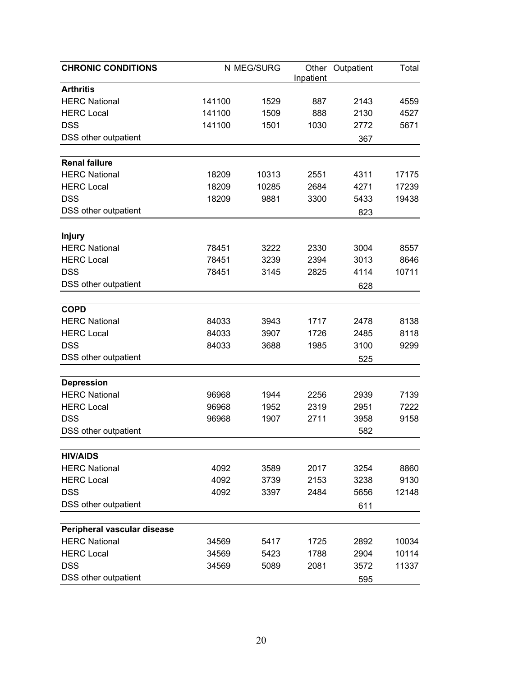| <b>Arthritis</b><br><b>HERC National</b><br>141100<br>1529<br>887<br>2143<br>4559<br><b>HERC Local</b><br>141100<br>888<br>1509<br>2130<br>4527<br><b>DSS</b><br>141100<br>1501<br>1030<br>5671<br>2772<br>DSS other outpatient<br>367<br><b>HERC National</b><br>4311<br>18209<br>10313<br>2551<br>17175<br><b>HERC Local</b><br>18209<br>10285<br>2684<br>4271<br>17239<br><b>DSS</b><br>18209<br>9881<br>3300<br>5433<br>19438<br>DSS other outpatient<br>823<br><b>Injury</b><br><b>HERC National</b><br>3004<br>78451<br>3222<br>2330<br>8557<br><b>HERC Local</b><br>78451<br>3239<br>2394<br>3013<br>8646<br><b>DSS</b><br>78451<br>10711<br>3145<br>2825<br>4114<br>DSS other outpatient<br>628<br><b>COPD</b><br><b>HERC National</b><br>84033<br>3943<br>1717<br>2478<br>8138<br><b>HERC Local</b><br>84033<br>3907<br>1726<br>2485<br>8118<br><b>DSS</b><br>84033<br>3100<br>3688<br>1985<br>9299<br>DSS other outpatient<br>525<br><b>Depression</b><br><b>HERC National</b><br>96968<br>1944<br>2256<br>2939<br>7139<br><b>HERC Local</b><br>96968<br>1952<br>2319<br>2951<br>7222<br><b>DSS</b><br>96968<br>3958<br>1907<br>2711<br>9158<br>582<br>DSS other outpatient<br><b>HIV/AIDS</b><br><b>HERC National</b><br>2017<br>3254<br>8860<br>4092<br>3589<br><b>HERC Local</b><br>4092<br>3739<br>2153<br>3238<br>9130<br><b>DSS</b><br>4092<br>2484<br>5656<br>12148<br>3397<br>DSS other outpatient<br>611<br>Peripheral vascular disease<br><b>HERC National</b><br>1725<br>2892<br>10034<br>34569<br>5417<br><b>HERC Local</b><br>34569<br>5423<br>1788<br>2904<br>10114<br><b>DSS</b><br>34569<br>5089<br>2081<br>3572<br>11337 | <b>CHRONIC CONDITIONS</b> | N MEG/SURG |           | Other Outpatient | Total |
|-----------------------------------------------------------------------------------------------------------------------------------------------------------------------------------------------------------------------------------------------------------------------------------------------------------------------------------------------------------------------------------------------------------------------------------------------------------------------------------------------------------------------------------------------------------------------------------------------------------------------------------------------------------------------------------------------------------------------------------------------------------------------------------------------------------------------------------------------------------------------------------------------------------------------------------------------------------------------------------------------------------------------------------------------------------------------------------------------------------------------------------------------------------------------------------------------------------------------------------------------------------------------------------------------------------------------------------------------------------------------------------------------------------------------------------------------------------------------------------------------------------------------------------------------------------------------------------------------------------------------------------------------------|---------------------------|------------|-----------|------------------|-------|
|                                                                                                                                                                                                                                                                                                                                                                                                                                                                                                                                                                                                                                                                                                                                                                                                                                                                                                                                                                                                                                                                                                                                                                                                                                                                                                                                                                                                                                                                                                                                                                                                                                                     |                           |            | Inpatient |                  |       |
|                                                                                                                                                                                                                                                                                                                                                                                                                                                                                                                                                                                                                                                                                                                                                                                                                                                                                                                                                                                                                                                                                                                                                                                                                                                                                                                                                                                                                                                                                                                                                                                                                                                     |                           |            |           |                  |       |
|                                                                                                                                                                                                                                                                                                                                                                                                                                                                                                                                                                                                                                                                                                                                                                                                                                                                                                                                                                                                                                                                                                                                                                                                                                                                                                                                                                                                                                                                                                                                                                                                                                                     |                           |            |           |                  |       |
|                                                                                                                                                                                                                                                                                                                                                                                                                                                                                                                                                                                                                                                                                                                                                                                                                                                                                                                                                                                                                                                                                                                                                                                                                                                                                                                                                                                                                                                                                                                                                                                                                                                     |                           |            |           |                  |       |
|                                                                                                                                                                                                                                                                                                                                                                                                                                                                                                                                                                                                                                                                                                                                                                                                                                                                                                                                                                                                                                                                                                                                                                                                                                                                                                                                                                                                                                                                                                                                                                                                                                                     |                           |            |           |                  |       |
|                                                                                                                                                                                                                                                                                                                                                                                                                                                                                                                                                                                                                                                                                                                                                                                                                                                                                                                                                                                                                                                                                                                                                                                                                                                                                                                                                                                                                                                                                                                                                                                                                                                     |                           |            |           |                  |       |
|                                                                                                                                                                                                                                                                                                                                                                                                                                                                                                                                                                                                                                                                                                                                                                                                                                                                                                                                                                                                                                                                                                                                                                                                                                                                                                                                                                                                                                                                                                                                                                                                                                                     | <b>Renal failure</b>      |            |           |                  |       |
|                                                                                                                                                                                                                                                                                                                                                                                                                                                                                                                                                                                                                                                                                                                                                                                                                                                                                                                                                                                                                                                                                                                                                                                                                                                                                                                                                                                                                                                                                                                                                                                                                                                     |                           |            |           |                  |       |
|                                                                                                                                                                                                                                                                                                                                                                                                                                                                                                                                                                                                                                                                                                                                                                                                                                                                                                                                                                                                                                                                                                                                                                                                                                                                                                                                                                                                                                                                                                                                                                                                                                                     |                           |            |           |                  |       |
|                                                                                                                                                                                                                                                                                                                                                                                                                                                                                                                                                                                                                                                                                                                                                                                                                                                                                                                                                                                                                                                                                                                                                                                                                                                                                                                                                                                                                                                                                                                                                                                                                                                     |                           |            |           |                  |       |
|                                                                                                                                                                                                                                                                                                                                                                                                                                                                                                                                                                                                                                                                                                                                                                                                                                                                                                                                                                                                                                                                                                                                                                                                                                                                                                                                                                                                                                                                                                                                                                                                                                                     |                           |            |           |                  |       |
|                                                                                                                                                                                                                                                                                                                                                                                                                                                                                                                                                                                                                                                                                                                                                                                                                                                                                                                                                                                                                                                                                                                                                                                                                                                                                                                                                                                                                                                                                                                                                                                                                                                     |                           |            |           |                  |       |
|                                                                                                                                                                                                                                                                                                                                                                                                                                                                                                                                                                                                                                                                                                                                                                                                                                                                                                                                                                                                                                                                                                                                                                                                                                                                                                                                                                                                                                                                                                                                                                                                                                                     |                           |            |           |                  |       |
|                                                                                                                                                                                                                                                                                                                                                                                                                                                                                                                                                                                                                                                                                                                                                                                                                                                                                                                                                                                                                                                                                                                                                                                                                                                                                                                                                                                                                                                                                                                                                                                                                                                     |                           |            |           |                  |       |
|                                                                                                                                                                                                                                                                                                                                                                                                                                                                                                                                                                                                                                                                                                                                                                                                                                                                                                                                                                                                                                                                                                                                                                                                                                                                                                                                                                                                                                                                                                                                                                                                                                                     |                           |            |           |                  |       |
|                                                                                                                                                                                                                                                                                                                                                                                                                                                                                                                                                                                                                                                                                                                                                                                                                                                                                                                                                                                                                                                                                                                                                                                                                                                                                                                                                                                                                                                                                                                                                                                                                                                     |                           |            |           |                  |       |
|                                                                                                                                                                                                                                                                                                                                                                                                                                                                                                                                                                                                                                                                                                                                                                                                                                                                                                                                                                                                                                                                                                                                                                                                                                                                                                                                                                                                                                                                                                                                                                                                                                                     |                           |            |           |                  |       |
|                                                                                                                                                                                                                                                                                                                                                                                                                                                                                                                                                                                                                                                                                                                                                                                                                                                                                                                                                                                                                                                                                                                                                                                                                                                                                                                                                                                                                                                                                                                                                                                                                                                     |                           |            |           |                  |       |
|                                                                                                                                                                                                                                                                                                                                                                                                                                                                                                                                                                                                                                                                                                                                                                                                                                                                                                                                                                                                                                                                                                                                                                                                                                                                                                                                                                                                                                                                                                                                                                                                                                                     |                           |            |           |                  |       |
|                                                                                                                                                                                                                                                                                                                                                                                                                                                                                                                                                                                                                                                                                                                                                                                                                                                                                                                                                                                                                                                                                                                                                                                                                                                                                                                                                                                                                                                                                                                                                                                                                                                     |                           |            |           |                  |       |
|                                                                                                                                                                                                                                                                                                                                                                                                                                                                                                                                                                                                                                                                                                                                                                                                                                                                                                                                                                                                                                                                                                                                                                                                                                                                                                                                                                                                                                                                                                                                                                                                                                                     |                           |            |           |                  |       |
|                                                                                                                                                                                                                                                                                                                                                                                                                                                                                                                                                                                                                                                                                                                                                                                                                                                                                                                                                                                                                                                                                                                                                                                                                                                                                                                                                                                                                                                                                                                                                                                                                                                     |                           |            |           |                  |       |
|                                                                                                                                                                                                                                                                                                                                                                                                                                                                                                                                                                                                                                                                                                                                                                                                                                                                                                                                                                                                                                                                                                                                                                                                                                                                                                                                                                                                                                                                                                                                                                                                                                                     |                           |            |           |                  |       |
|                                                                                                                                                                                                                                                                                                                                                                                                                                                                                                                                                                                                                                                                                                                                                                                                                                                                                                                                                                                                                                                                                                                                                                                                                                                                                                                                                                                                                                                                                                                                                                                                                                                     |                           |            |           |                  |       |
|                                                                                                                                                                                                                                                                                                                                                                                                                                                                                                                                                                                                                                                                                                                                                                                                                                                                                                                                                                                                                                                                                                                                                                                                                                                                                                                                                                                                                                                                                                                                                                                                                                                     |                           |            |           |                  |       |
|                                                                                                                                                                                                                                                                                                                                                                                                                                                                                                                                                                                                                                                                                                                                                                                                                                                                                                                                                                                                                                                                                                                                                                                                                                                                                                                                                                                                                                                                                                                                                                                                                                                     |                           |            |           |                  |       |
|                                                                                                                                                                                                                                                                                                                                                                                                                                                                                                                                                                                                                                                                                                                                                                                                                                                                                                                                                                                                                                                                                                                                                                                                                                                                                                                                                                                                                                                                                                                                                                                                                                                     |                           |            |           |                  |       |
|                                                                                                                                                                                                                                                                                                                                                                                                                                                                                                                                                                                                                                                                                                                                                                                                                                                                                                                                                                                                                                                                                                                                                                                                                                                                                                                                                                                                                                                                                                                                                                                                                                                     |                           |            |           |                  |       |
|                                                                                                                                                                                                                                                                                                                                                                                                                                                                                                                                                                                                                                                                                                                                                                                                                                                                                                                                                                                                                                                                                                                                                                                                                                                                                                                                                                                                                                                                                                                                                                                                                                                     |                           |            |           |                  |       |
|                                                                                                                                                                                                                                                                                                                                                                                                                                                                                                                                                                                                                                                                                                                                                                                                                                                                                                                                                                                                                                                                                                                                                                                                                                                                                                                                                                                                                                                                                                                                                                                                                                                     |                           |            |           |                  |       |
|                                                                                                                                                                                                                                                                                                                                                                                                                                                                                                                                                                                                                                                                                                                                                                                                                                                                                                                                                                                                                                                                                                                                                                                                                                                                                                                                                                                                                                                                                                                                                                                                                                                     |                           |            |           |                  |       |
|                                                                                                                                                                                                                                                                                                                                                                                                                                                                                                                                                                                                                                                                                                                                                                                                                                                                                                                                                                                                                                                                                                                                                                                                                                                                                                                                                                                                                                                                                                                                                                                                                                                     |                           |            |           |                  |       |
|                                                                                                                                                                                                                                                                                                                                                                                                                                                                                                                                                                                                                                                                                                                                                                                                                                                                                                                                                                                                                                                                                                                                                                                                                                                                                                                                                                                                                                                                                                                                                                                                                                                     |                           |            |           |                  |       |
|                                                                                                                                                                                                                                                                                                                                                                                                                                                                                                                                                                                                                                                                                                                                                                                                                                                                                                                                                                                                                                                                                                                                                                                                                                                                                                                                                                                                                                                                                                                                                                                                                                                     |                           |            |           |                  |       |
|                                                                                                                                                                                                                                                                                                                                                                                                                                                                                                                                                                                                                                                                                                                                                                                                                                                                                                                                                                                                                                                                                                                                                                                                                                                                                                                                                                                                                                                                                                                                                                                                                                                     |                           |            |           |                  |       |
|                                                                                                                                                                                                                                                                                                                                                                                                                                                                                                                                                                                                                                                                                                                                                                                                                                                                                                                                                                                                                                                                                                                                                                                                                                                                                                                                                                                                                                                                                                                                                                                                                                                     |                           |            |           |                  |       |
|                                                                                                                                                                                                                                                                                                                                                                                                                                                                                                                                                                                                                                                                                                                                                                                                                                                                                                                                                                                                                                                                                                                                                                                                                                                                                                                                                                                                                                                                                                                                                                                                                                                     |                           |            |           |                  |       |
|                                                                                                                                                                                                                                                                                                                                                                                                                                                                                                                                                                                                                                                                                                                                                                                                                                                                                                                                                                                                                                                                                                                                                                                                                                                                                                                                                                                                                                                                                                                                                                                                                                                     |                           |            |           |                  |       |
|                                                                                                                                                                                                                                                                                                                                                                                                                                                                                                                                                                                                                                                                                                                                                                                                                                                                                                                                                                                                                                                                                                                                                                                                                                                                                                                                                                                                                                                                                                                                                                                                                                                     | DSS other outpatient      |            |           | 595              |       |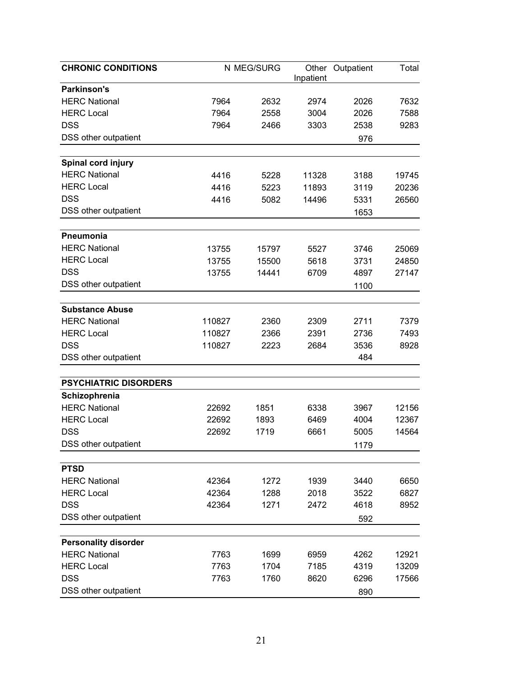| <b>CHRONIC CONDITIONS</b>    |        | N MEG/SURG | Inpatient | Other Outpatient | Total |
|------------------------------|--------|------------|-----------|------------------|-------|
| <b>Parkinson's</b>           |        |            |           |                  |       |
| <b>HERC National</b>         | 7964   | 2632       | 2974      | 2026             | 7632  |
| <b>HERC Local</b>            | 7964   | 2558       | 3004      | 2026             | 7588  |
| <b>DSS</b>                   | 7964   | 2466       | 3303      | 2538             | 9283  |
| DSS other outpatient         |        |            |           | 976              |       |
| Spinal cord injury           |        |            |           |                  |       |
| <b>HERC National</b>         | 4416   | 5228       | 11328     | 3188             | 19745 |
| <b>HERC Local</b>            | 4416   | 5223       | 11893     | 3119             | 20236 |
| <b>DSS</b>                   | 4416   | 5082       | 14496     | 5331             | 26560 |
| DSS other outpatient         |        |            |           | 1653             |       |
| Pneumonia                    |        |            |           |                  |       |
| <b>HERC National</b>         | 13755  | 15797      | 5527      | 3746             | 25069 |
| <b>HERC Local</b>            | 13755  | 15500      | 5618      | 3731             | 24850 |
| <b>DSS</b>                   | 13755  | 14441      | 6709      | 4897             | 27147 |
| DSS other outpatient         |        |            |           | 1100             |       |
|                              |        |            |           |                  |       |
| <b>Substance Abuse</b>       |        |            |           |                  |       |
| <b>HERC National</b>         | 110827 | 2360       | 2309      | 2711             | 7379  |
| <b>HERC</b> Local            | 110827 | 2366       | 2391      | 2736             | 7493  |
| <b>DSS</b>                   | 110827 | 2223       | 2684      | 3536             | 8928  |
| DSS other outpatient         |        |            |           | 484              |       |
| <b>PSYCHIATRIC DISORDERS</b> |        |            |           |                  |       |
| Schizophrenia                |        |            |           |                  |       |
| <b>HERC National</b>         | 22692  | 1851       | 6338      | 3967             | 12156 |
| <b>HERC Local</b>            | 22692  | 1893       | 6469      | 4004             | 12367 |
| <b>DSS</b>                   | 22692  | 1719       | 6661      | 5005             | 14564 |
| DSS other outpatient         |        |            |           | 1179             |       |
| <b>PTSD</b>                  |        |            |           |                  |       |
| <b>HERC National</b>         | 42364  | 1272       | 1939      | 3440             | 6650  |
| <b>HERC Local</b>            | 42364  | 1288       | 2018      | 3522             | 6827  |
| <b>DSS</b>                   | 42364  | 1271       | 2472      | 4618             | 8952  |
| DSS other outpatient         |        |            |           | 592              |       |
|                              |        |            |           |                  |       |
| <b>Personality disorder</b>  |        |            |           |                  |       |
| <b>HERC National</b>         | 7763   | 1699       | 6959      | 4262             | 12921 |
| <b>HERC Local</b>            | 7763   | 1704       | 7185      | 4319             | 13209 |
| <b>DSS</b>                   | 7763   | 1760       | 8620      | 6296             | 17566 |
| DSS other outpatient         |        |            |           | 890              |       |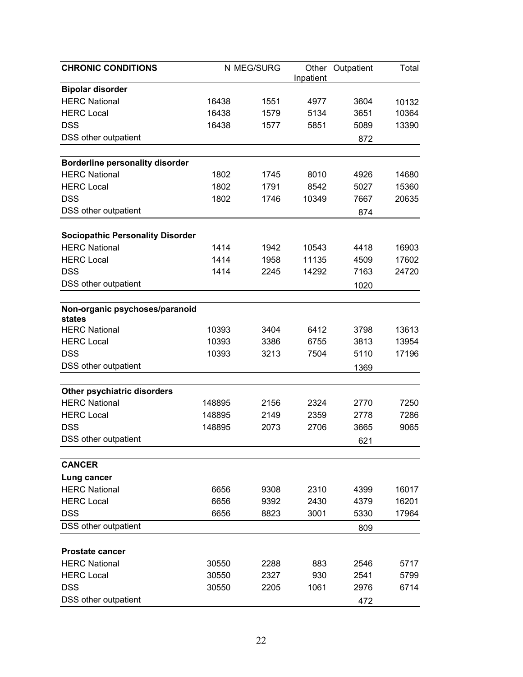| <b>CHRONIC CONDITIONS</b>                |        | N MEG/SURG | Inpatient | Other Outpatient | Total |
|------------------------------------------|--------|------------|-----------|------------------|-------|
| <b>Bipolar disorder</b>                  |        |            |           |                  |       |
| <b>HERC National</b>                     | 16438  | 1551       | 4977      | 3604             | 10132 |
| <b>HERC Local</b>                        | 16438  | 1579       | 5134      | 3651             | 10364 |
| <b>DSS</b>                               | 16438  | 1577       | 5851      | 5089             | 13390 |
| DSS other outpatient                     |        |            |           | 872              |       |
|                                          |        |            |           |                  |       |
| <b>Borderline personality disorder</b>   |        |            |           |                  |       |
| <b>HERC National</b>                     | 1802   | 1745       | 8010      | 4926             | 14680 |
| <b>HERC Local</b>                        | 1802   | 1791       | 8542      | 5027             | 15360 |
| <b>DSS</b>                               | 1802   | 1746       | 10349     | 7667             | 20635 |
| DSS other outpatient                     |        |            |           | 874              |       |
| <b>Sociopathic Personality Disorder</b>  |        |            |           |                  |       |
| <b>HERC National</b>                     | 1414   | 1942       | 10543     | 4418             | 16903 |
| <b>HERC Local</b>                        | 1414   | 1958       | 11135     | 4509             | 17602 |
| <b>DSS</b>                               | 1414   | 2245       | 14292     | 7163             | 24720 |
| DSS other outpatient                     |        |            |           | 1020             |       |
|                                          |        |            |           |                  |       |
| Non-organic psychoses/paranoid<br>states |        |            |           |                  |       |
| <b>HERC National</b>                     | 10393  | 3404       | 6412      | 3798             | 13613 |
| <b>HERC Local</b>                        | 10393  | 3386       | 6755      | 3813             | 13954 |
| <b>DSS</b>                               | 10393  | 3213       | 7504      | 5110             | 17196 |
| DSS other outpatient                     |        |            |           | 1369             |       |
|                                          |        |            |           |                  |       |
| Other psychiatric disorders              |        |            |           |                  |       |
| <b>HERC National</b>                     | 148895 | 2156       | 2324      | 2770             | 7250  |
| <b>HERC Local</b>                        | 148895 | 2149       | 2359      | 2778             | 7286  |
| <b>DSS</b>                               | 148895 | 2073       | 2706      | 3665             | 9065  |
| DSS other outpatient                     |        |            |           | 621              |       |
|                                          |        |            |           |                  |       |
| <b>CANCER</b>                            |        |            |           |                  |       |
| Lung cancer<br><b>HERC National</b>      | 6656   | 9308       | 2310      | 4399             | 16017 |
| <b>HERC</b> Local                        | 6656   | 9392       | 2430      | 4379             | 16201 |
| <b>DSS</b>                               | 6656   | 8823       | 3001      | 5330             | 17964 |
| DSS other outpatient                     |        |            |           |                  |       |
|                                          |        |            |           | 809              |       |
| <b>Prostate cancer</b>                   |        |            |           |                  |       |
| <b>HERC National</b>                     | 30550  | 2288       | 883       | 2546             | 5717  |
| <b>HERC Local</b>                        | 30550  | 2327       | 930       | 2541             | 5799  |
| <b>DSS</b>                               | 30550  | 2205       | 1061      | 2976             | 6714  |
| DSS other outpatient                     |        |            |           | 472              |       |